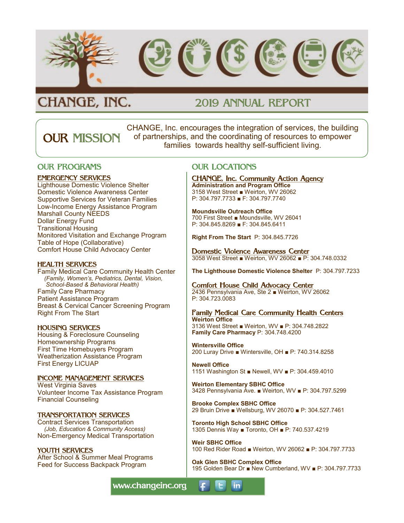

# CHANGE, INC.

## 2019 ANNUAL REPORT

CHANGE, Inc. encourages the integration of services, the building of partnerships, and the coordinating of resources to empower families towards healthy self-sufficient living. OUR MISSION

### OUR PROGRAMS

#### EMERGENCY SERVICES

Lighthouse Domestic Violence Shelter Domestic Violence Awareness Center Supportive Services for Veteran Families Low-Income Energy Assistance Program Marshall County NEEDS Dollar Energy Fund Transitional Housing Monitored Visitation and Exchange Program Table of Hope (Collaborative) Comfort House Child Advocacy Center

#### HEALTH SERVICES

Family Medical Care Community Health Center  *(Family, Women's, Pediatrics, Dental, Vision, School-Based & Behavioral Health)* Family Care Pharmacy Patient Assistance Program Breast & Cervical Cancer Screening Program Right From The Start

#### HOUSING SERVICES

Housing & Foreclosure Counseling Homeownership Programs First Time Homebuyers Program Weatherization Assistance Program First Energy LICUAP

#### INCOME MANAGEMENT SERVICES

West Virginia Saves Volunteer Income Tax Assistance Program Financial Counseling

#### TRANSPORTATION SERVICES

Contract Services Transportation *(Job, Education & Community Access)* Non-Emergency Medical Transportation

#### YOUTH SERVICES

After School & Summer Meal Programs Feed for Success Backpack Program

OUR LOCATIONS

#### CHANGE, Inc. Community Action Agency

**Administration and Program Office** 3158 West Street ■ Weirton, WV 26062 P: 304.797.7733 ■ F: 304.797.7740

#### **Moundsville Outreach Office** 700 First Street ■ Moundsville, WV 26041 P: 304.845.8269 ■ F: 304.845.6411

**Right From The Start** P: 304.845.7726

### Domestic Violence Awareness Center

3058 West Street ■ Weirton, WV 26062 ■ P: 304.748.0332

**The Lighthouse Domestic Violence Shelter** P: 304.797.7233

#### Comfort House Child Advocacy Center

2436 Pennsylvania Ave, Ste 2 ■ Weirton, WV 26062 P: 304.723.0083

#### Family Medical Care Community Health Centers **Weirton Office**

3136 West Street ■ Weirton, WV ■ P: 304.748.2822 **Family Care Pharmacy** P: 304.748.4200

**Wintersville Office** 200 Luray Drive ■ Wintersville, OH ■ P: 740.314.8258

**Newell Office** 1151 Washington St ■ Newell, WV ■ P: 304.459.4010

**Weirton Elementary SBHC Office** 3428 Pennsylvania Ave. ■ Weirton, WV ■ P: 304.797.5299

**Brooke Complex SBHC Office** 29 Bruin Drive ■ Wellsburg, WV 26070 ■ P: 304.527.7461

**Toronto High School SBHC Office** 1305 Dennis Way ■ Toronto, OH ■ P: 740.537.4219

**in** 

**Weir SBHC Office** 100 Red Rider Road ■ Weirton, WV 26062 ■ P: 304.797.7733

**Oak Glen SBHC Complex Office** 195 Golden Bear Dr ■ New Cumberland, WV ■ P: 304.797.7733

www.changeinc.org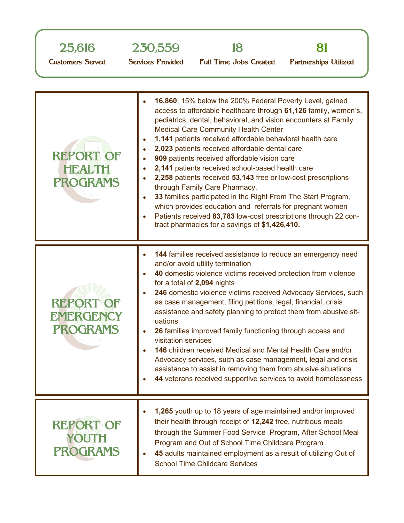| 25,616                                               | 230,559                  |                                                                                                                                                                                                                                                                                                                                                                                                                                                                                                                                                                                                                                     |                              |
|------------------------------------------------------|--------------------------|-------------------------------------------------------------------------------------------------------------------------------------------------------------------------------------------------------------------------------------------------------------------------------------------------------------------------------------------------------------------------------------------------------------------------------------------------------------------------------------------------------------------------------------------------------------------------------------------------------------------------------------|------------------------------|
| <b>Customers Served</b>                              | <b>Services Provided</b> | <b>Full Time Jobs Created</b>                                                                                                                                                                                                                                                                                                                                                                                                                                                                                                                                                                                                       | <b>Partnerships Utilized</b> |
| <b>REPORT OF</b><br><b>HEALTH</b><br><b>PROGRAMS</b> | $\bullet$<br>۰           | 16,860, 15% below the 200% Federal Poverty Level, gained<br>access to affordable healthcare through 61,126 family, women's,<br>pediatrics, dental, behavioral, and vision encounters at Family<br><b>Medical Care Community Health Center</b><br>1,141 patients received affordable behavioral health care<br>2,023 patients received affordable dental care<br>909 patients received affordable vision care<br>2,141 patients received school-based health care<br>2,258 patients received 53,143 free or low-cost prescriptions<br>through Family Care Pharmacy.<br>33 families participated in the Right From The Start Program, |                              |

which provides education and referrals for pregnant women Patients received **83,783** low-cost prescriptions through 22 contract pharmacies for a savings of **\$1,426,410.**

| <b>REPORT OF</b><br><b>EMERGENCY</b><br><b>PROGRAMS</b> | 144 families received assistance to reduce an emergency need<br>and/or avoid utility termination<br>40 domestic violence victims received protection from violence<br>for a total of 2,094 nights<br>246 domestic violence victims received Advocacy Services, such<br>as case management, filing petitions, legal, financial, crisis<br>assistance and safety planning to protect them from abusive sit-<br>uations<br>26 families improved family functioning through access and<br>visitation services<br><b>146</b> children received Medical and Mental Health Care and/or<br>Advocacy services, such as case management, legal and crisis<br>assistance to assist in removing them from abusive situations<br>44 veterans received supportive services to avoid homelessness |
|---------------------------------------------------------|------------------------------------------------------------------------------------------------------------------------------------------------------------------------------------------------------------------------------------------------------------------------------------------------------------------------------------------------------------------------------------------------------------------------------------------------------------------------------------------------------------------------------------------------------------------------------------------------------------------------------------------------------------------------------------------------------------------------------------------------------------------------------------|
|                                                         | 1,265 youth up to 18 years of age maintained and/or improved<br>$\mathbf{r}$ and $\mathbf{r}$ are the state of $\mathbf{r}$ and $\mathbf{r}$ are the state of $\mathbf{r}$                                                                                                                                                                                                                                                                                                                                                                                                                                                                                                                                                                                                         |

| <b>REPORT OF</b><br>YOUTH<br><b>PROGRAMS</b> | <b>1,265</b> youth up to 18 years of age maintained and/or improved |
|----------------------------------------------|---------------------------------------------------------------------|
|                                              | their health through receipt of 12,242 free, nutritious meals       |
|                                              | through the Summer Food Service Program, After School Meal          |
|                                              | Program and Out of School Time Childcare Program                    |
|                                              | 45 adults maintained employment as a result of utilizing Out of     |
|                                              | <b>School Time Childcare Services</b>                               |
|                                              |                                                                     |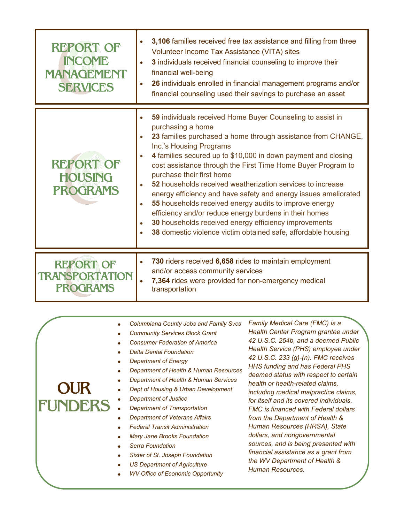| $\bullet$<br><b>SERVICES</b>                                       | financial counseling used their savings to purchase an asset                                                                                                                                                                                                                                                                                                                                                                                                                                                                                                                                                                                                                                                            |
|--------------------------------------------------------------------|-------------------------------------------------------------------------------------------------------------------------------------------------------------------------------------------------------------------------------------------------------------------------------------------------------------------------------------------------------------------------------------------------------------------------------------------------------------------------------------------------------------------------------------------------------------------------------------------------------------------------------------------------------------------------------------------------------------------------|
| $\bullet$<br><b>REPORT OF</b><br><b>HOUSING</b><br><b>PROGRAMS</b> | 59 individuals received Home Buyer Counseling to assist in<br>purchasing a home<br>23 families purchased a home through assistance from CHANGE,<br>Inc.'s Housing Programs<br>4 families secured up to \$10,000 in down payment and closing<br>cost assistance through the First Time Home Buyer Program to<br>purchase their first home<br>52 households received weatherization services to increase<br>energy efficiency and have safety and energy issues ameliorated<br>55 households received energy audits to improve energy<br>efficiency and/or reduce energy burdens in their homes<br>30 households received energy efficiency improvements<br>38 domestic violence victim obtained safe, affordable housing |
| <b>REPORT OF</b><br><b>TRANSPORTATION</b><br><b>PROGRAMS</b>       | 730 riders received 6,658 rides to maintain employment<br>and/or access community services<br>7,364 rides were provided for non-emergency medical<br>transportation                                                                                                                                                                                                                                                                                                                                                                                                                                                                                                                                                     |

| <b>OUR</b><br><b>IFUNDERS</b> | <b>Columbiana County Jobs and Family Svcs</b><br><b>Community Services Block Grant</b><br><b>Consumer Federation of America</b><br><b>Delta Dental Foundation</b><br>Department of Energy<br>Department of Health & Human Resources<br>Department of Health & Human Services<br>Dept of Housing & Urban Development<br>Department of Justice<br>Department of Transportation<br><b>Department of Veterans Affairs</b><br><b>Federal Transit Administration</b><br><b>Mary Jane Brooks Foundation</b><br>Serra Foundation<br>Sister of St. Joseph Foundation<br><b>US Department of Agriculture</b><br><b>WV Office of Economic Opportunity</b> | Family Medical Care (FMC) is a<br>Health Center Program grantee under<br>42 U.S.C. 254b, and a deemed Public<br>Health Service (PHS) employee under<br>42 U.S.C. 233 (g)-(n). FMC receives<br><b>HHS funding and has Federal PHS</b><br>deemed status with respect to certain<br>health or health-related claims,<br>including medical malpractice claims,<br>for itself and its covered individuals.<br><b>FMC</b> is financed with Federal dollars<br>from the Department of Health &<br>Human Resources (HRSA), State<br>dollars, and nongovernmental<br>sources, and is being presented with<br>financial assistance as a grant from<br>the WV Department of Health &<br>Human Resources. |
|-------------------------------|------------------------------------------------------------------------------------------------------------------------------------------------------------------------------------------------------------------------------------------------------------------------------------------------------------------------------------------------------------------------------------------------------------------------------------------------------------------------------------------------------------------------------------------------------------------------------------------------------------------------------------------------|-----------------------------------------------------------------------------------------------------------------------------------------------------------------------------------------------------------------------------------------------------------------------------------------------------------------------------------------------------------------------------------------------------------------------------------------------------------------------------------------------------------------------------------------------------------------------------------------------------------------------------------------------------------------------------------------------|
|-------------------------------|------------------------------------------------------------------------------------------------------------------------------------------------------------------------------------------------------------------------------------------------------------------------------------------------------------------------------------------------------------------------------------------------------------------------------------------------------------------------------------------------------------------------------------------------------------------------------------------------------------------------------------------------|-----------------------------------------------------------------------------------------------------------------------------------------------------------------------------------------------------------------------------------------------------------------------------------------------------------------------------------------------------------------------------------------------------------------------------------------------------------------------------------------------------------------------------------------------------------------------------------------------------------------------------------------------------------------------------------------------|